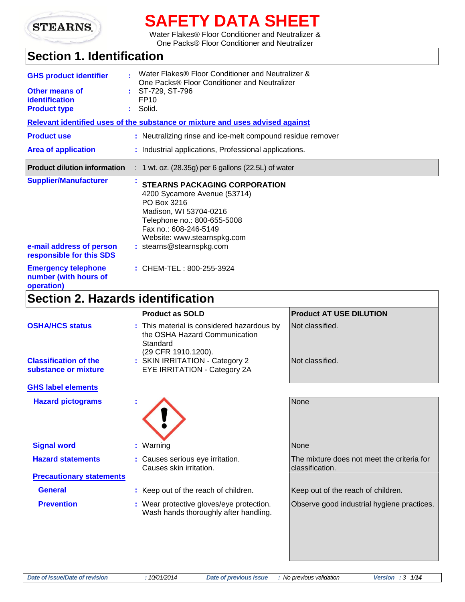

# **SAFETY DATA SHEET**

Water Flakes® Floor Conditioner and Neutralizer & One Packs® Floor Conditioner and Neutralizer

# **Section 1. Identification**

| <b>GHS product identifier</b><br>Other means of<br><i>identification</i><br><b>Product type</b> | Water Flakes® Floor Conditioner and Neutralizer &<br>One Packs® Floor Conditioner and Neutralizer<br>$\cdot$ ST-729, ST-796<br>FP <sub>10</sub><br>$:$ Solid.                                                                    |  |
|-------------------------------------------------------------------------------------------------|----------------------------------------------------------------------------------------------------------------------------------------------------------------------------------------------------------------------------------|--|
|                                                                                                 | Relevant identified uses of the substance or mixture and uses advised against                                                                                                                                                    |  |
| <b>Product use</b>                                                                              | : Neutralizing rinse and ice-melt compound residue remover                                                                                                                                                                       |  |
| <b>Area of application</b>                                                                      | : Industrial applications, Professional applications.                                                                                                                                                                            |  |
| <b>Product dilution information</b>                                                             | $: 1$ wt. oz. (28.35g) per 6 gallons (22.5L) of water                                                                                                                                                                            |  |
| <b>Supplier/Manufacturer</b><br>e-mail address of person<br>responsible for this SDS            | <b>STEARNS PACKAGING CORPORATION</b><br>4200 Sycamore Avenue (53714)<br>PO Box 3216<br>Madison, WI 53704-0216<br>Telephone no.: 800-655-5008<br>Fax no.: 608-246-5149<br>Website: www.stearnspkg.com<br>: stearns@stearnspkg.com |  |
| <b>Emergency telephone</b><br>number (with hours of<br>operation)                               | : CHEM-TEL: 800-255-3924                                                                                                                                                                                                         |  |

## **Section 2. Hazards identification**

| <b>Product as SOLD</b>                                                                  | <b>Product AT USE DILUTION</b>                                |
|-----------------------------------------------------------------------------------------|---------------------------------------------------------------|
| : This material is considered hazardous by<br>the OSHA Hazard Communication<br>Standard | Not classified.                                               |
| : SKIN IRRITATION - Category 2<br>EYE IRRITATION - Category 2A                          | Not classified.                                               |
|                                                                                         |                                                               |
|                                                                                         | <b>None</b>                                                   |
| : Warning                                                                               | <b>None</b>                                                   |
| : Causes serious eye irritation.<br>Causes skin irritation.                             | The mixture does not meet the criteria for<br>classification. |
|                                                                                         |                                                               |
| : Keep out of the reach of children.                                                    | Keep out of the reach of children.                            |
| : Wear protective gloves/eye protection.<br>Wash hands thoroughly after handling.       | Observe good industrial hygiene practices.                    |
|                                                                                         | (29 CFR 1910.1200).                                           |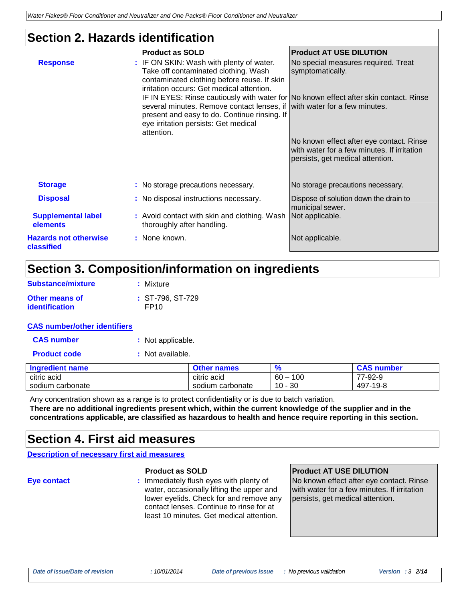### **Section 2. Hazards identification**

| <b>Response</b>                            | <b>Product as SOLD</b><br>: IF ON SKIN: Wash with plenty of water.<br>Take off contaminated clothing. Wash<br>contaminated clothing before reuse. If skin<br>irritation occurs: Get medical attention.<br>IF IN EYES: Rinse cautiously with water for No known effect after skin contact. Rinse<br>several minutes. Remove contact lenses, if with water for a few minutes.<br>present and easy to do. Continue rinsing. If<br>eye irritation persists: Get medical<br>attention. | <b>Product AT USE DILUTION</b><br>No special measures required. Treat<br>symptomatically.<br>No known effect after eye contact. Rinse<br>with water for a few minutes. If irritation<br>persists, get medical attention. |
|--------------------------------------------|-----------------------------------------------------------------------------------------------------------------------------------------------------------------------------------------------------------------------------------------------------------------------------------------------------------------------------------------------------------------------------------------------------------------------------------------------------------------------------------|--------------------------------------------------------------------------------------------------------------------------------------------------------------------------------------------------------------------------|
| <b>Storage</b>                             | : No storage precautions necessary.                                                                                                                                                                                                                                                                                                                                                                                                                                               | No storage precautions necessary.                                                                                                                                                                                        |
| <b>Disposal</b>                            | : No disposal instructions necessary.                                                                                                                                                                                                                                                                                                                                                                                                                                             | Dispose of solution down the drain to<br>municipal sewer.                                                                                                                                                                |
| <b>Supplemental label</b><br>elements      | : Avoid contact with skin and clothing. Wash<br>thoroughly after handling.                                                                                                                                                                                                                                                                                                                                                                                                        | Not applicable.                                                                                                                                                                                                          |
| <b>Hazards not otherwise</b><br>classified | : None known.                                                                                                                                                                                                                                                                                                                                                                                                                                                                     | Not applicable.                                                                                                                                                                                                          |

### **Section 3. Composition/information on ingredients**

| Substance/mixture     | : Mixture          |
|-----------------------|--------------------|
| <b>Other means of</b> | $: ST-796. ST-729$ |
| identification        | FP <sub>10</sub>   |

#### **CAS number/other identifiers**

| <b>CAS number</b> | : Not applicable. |
|-------------------|-------------------|
|-------------------|-------------------|

| <b>Product code</b> | : Not available. |
|---------------------|------------------|
|---------------------|------------------|

| <b>Ingredient name</b> | <b>Other names</b> |               | <b>CAS number</b> |
|------------------------|--------------------|---------------|-------------------|
| citric acid            | citric acid        | 100<br>$60 -$ | 77-92-9           |
| sodium carbonate       | sodium carbonate   | 10 - 30       | 497-19-8          |

Any concentration shown as a range is to protect confidentiality or is due to batch variation. **There are no additional ingredients present which, within the current knowledge of the supplier and in the concentrations applicable, are classified as hazardous to health and hence require reporting in this section.**

### **Section 4. First aid measures**

**Description of necessary first aid measures**

**Eye contact :** Immediately flush eyes with plenty of water, occasionally lifting the upper and lower eyelids. Check for and remove any contact lenses. Continue to rinse for at least 10 minutes. Get medical attention.

#### **Product as SOLD Product AT USE DILUTION**

No known effect after eye contact. Rinse with water for a few minutes. If irritation persists, get medical attention.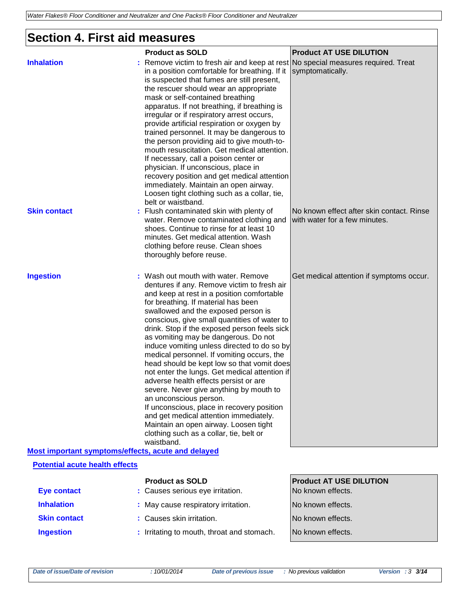# **Section 4. First aid measures**

|                                                                                             | <b>Product as SOLD</b>                                                                                                                                                                                                                                                                                                                                                                                                                                                                                                                                                                                                                                                                                                                                                                                                                                     | <b>Product AT USE DILUTION</b>                                             |
|---------------------------------------------------------------------------------------------|------------------------------------------------------------------------------------------------------------------------------------------------------------------------------------------------------------------------------------------------------------------------------------------------------------------------------------------------------------------------------------------------------------------------------------------------------------------------------------------------------------------------------------------------------------------------------------------------------------------------------------------------------------------------------------------------------------------------------------------------------------------------------------------------------------------------------------------------------------|----------------------------------------------------------------------------|
| <b>Inhalation</b>                                                                           | Remove victim to fresh air and keep at rest<br>in a position comfortable for breathing. If it<br>is suspected that fumes are still present,<br>the rescuer should wear an appropriate<br>mask or self-contained breathing<br>apparatus. If not breathing, if breathing is<br>irregular or if respiratory arrest occurs,<br>provide artificial respiration or oxygen by<br>trained personnel. It may be dangerous to<br>the person providing aid to give mouth-to-<br>mouth resuscitation. Get medical attention.<br>If necessary, call a poison center or<br>physician. If unconscious, place in<br>recovery position and get medical attention<br>immediately. Maintain an open airway.<br>Loosen tight clothing such as a collar, tie,<br>belt or waistband.                                                                                             | No special measures required. Treat<br>symptomatically.                    |
| <b>Skin contact</b>                                                                         | : Flush contaminated skin with plenty of<br>water. Remove contaminated clothing and<br>shoes. Continue to rinse for at least 10<br>minutes. Get medical attention. Wash<br>clothing before reuse. Clean shoes<br>thoroughly before reuse.                                                                                                                                                                                                                                                                                                                                                                                                                                                                                                                                                                                                                  | No known effect after skin contact. Rinse<br>with water for a few minutes. |
| <b>Ingestion</b>                                                                            | : Wash out mouth with water. Remove<br>dentures if any. Remove victim to fresh air<br>and keep at rest in a position comfortable<br>for breathing. If material has been<br>swallowed and the exposed person is<br>conscious, give small quantities of water to<br>drink. Stop if the exposed person feels sick<br>as vomiting may be dangerous. Do not<br>induce vomiting unless directed to do so by<br>medical personnel. If vomiting occurs, the<br>head should be kept low so that vomit does<br>not enter the lungs. Get medical attention if<br>adverse health effects persist or are<br>severe. Never give anything by mouth to<br>an unconscious person.<br>If unconscious, place in recovery position<br>and get medical attention immediately.<br>Maintain an open airway. Loosen tight<br>clothing such as a collar, tie, belt or<br>waistband. | Get medical attention if symptoms occur.                                   |
| Most important symptoms/effects, acute and delayed<br><b>Potential acute health effects</b> |                                                                                                                                                                                                                                                                                                                                                                                                                                                                                                                                                                                                                                                                                                                                                                                                                                                            |                                                                            |
|                                                                                             | <b>Product as SOLD</b>                                                                                                                                                                                                                                                                                                                                                                                                                                                                                                                                                                                                                                                                                                                                                                                                                                     | <b>Product AT USE DILUTION</b>                                             |
| <b>Eye contact</b>                                                                          | : Causes serious eye irritation.                                                                                                                                                                                                                                                                                                                                                                                                                                                                                                                                                                                                                                                                                                                                                                                                                           | No known effects.                                                          |
| <b>Inhalation</b>                                                                           | : May cause respiratory irritation.                                                                                                                                                                                                                                                                                                                                                                                                                                                                                                                                                                                                                                                                                                                                                                                                                        | No known effects.                                                          |
| <b>Skin contact</b>                                                                         | : Causes skin irritation.                                                                                                                                                                                                                                                                                                                                                                                                                                                                                                                                                                                                                                                                                                                                                                                                                                  | No known effects.                                                          |
| <b>Ingestion</b>                                                                            | : Irritating to mouth, throat and stomach.                                                                                                                                                                                                                                                                                                                                                                                                                                                                                                                                                                                                                                                                                                                                                                                                                 | No known effects.                                                          |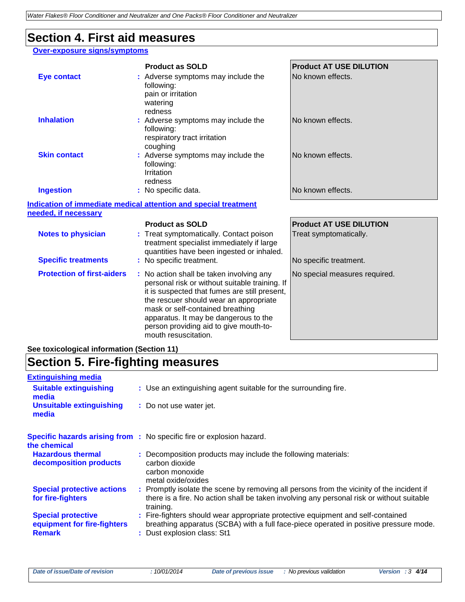### **Section 4. First aid measures**

#### **Over-exposure signs/symptoms**

|                                   | <b>Product as SOLD</b>                                                                                                                                                                | <b>Product AT USE DILUTION</b> |
|-----------------------------------|---------------------------------------------------------------------------------------------------------------------------------------------------------------------------------------|--------------------------------|
| <b>Eye contact</b>                | : Adverse symptoms may include the<br>following:<br>pain or irritation<br>watering<br>redness                                                                                         | No known effects.              |
| <b>Inhalation</b>                 | : Adverse symptoms may include the<br>following:<br>respiratory tract irritation<br>coughing                                                                                          | No known effects.              |
| <b>Skin contact</b>               | : Adverse symptoms may include the<br>following:<br>Irritation<br>redness                                                                                                             | No known effects.              |
| <b>Ingestion</b>                  | : No specific data.                                                                                                                                                                   | No known effects.              |
|                                   | <b>Indication of immediate medical attention and special treatment</b>                                                                                                                |                                |
| needed, if necessary              |                                                                                                                                                                                       |                                |
|                                   | <b>Product as SOLD</b>                                                                                                                                                                | <b>Product AT USE DILUTION</b> |
| <b>Notes to physician</b>         | : Treat symptomatically. Contact poison<br>treatment specialist immediately if large<br>quantities have been ingested or inhaled.                                                     | Treat symptomatically.         |
| <b>Specific treatments</b>        | : No specific treatment.                                                                                                                                                              | No specific treatment.         |
| <b>Protection of first-aiders</b> | : No action shall be taken involving any<br>personal risk or without suitable training. If<br>it is suspected that fumes are still present,<br>the rescuer should wear an appropriate | No special measures required.  |

mask or self-contained breathing apparatus. It may be dangerous to the person providing aid to give mouth-to-

mouth resuscitation.

### **See toxicological information (Section 11)**

# **Section 5. Fire-fighting measures**

| <b>Extinguishing media</b>                                                |                                                                                                                                                                                                         |
|---------------------------------------------------------------------------|---------------------------------------------------------------------------------------------------------------------------------------------------------------------------------------------------------|
| <b>Suitable extinguishing</b><br>media                                    | : Use an extinguishing agent suitable for the surrounding fire.                                                                                                                                         |
| <b>Unsuitable extinguishing</b><br>media                                  | : Do not use water jet.                                                                                                                                                                                 |
| the chemical                                                              | <b>Specific hazards arising from :</b> No specific fire or explosion hazard.                                                                                                                            |
| <b>Hazardous thermal</b><br>decomposition products                        | : Decomposition products may include the following materials:<br>carbon dioxide<br>carbon monoxide<br>metal oxide/oxides                                                                                |
| <b>Special protective actions</b><br>for fire-fighters                    | : Promptly isolate the scene by removing all persons from the vicinity of the incident if<br>there is a fire. No action shall be taken involving any personal risk or without suitable<br>training.     |
| <b>Special protective</b><br>equipment for fire-fighters<br><b>Remark</b> | : Fire-fighters should wear appropriate protective equipment and self-contained<br>breathing apparatus (SCBA) with a full face-piece operated in positive pressure mode.<br>: Dust explosion class: St1 |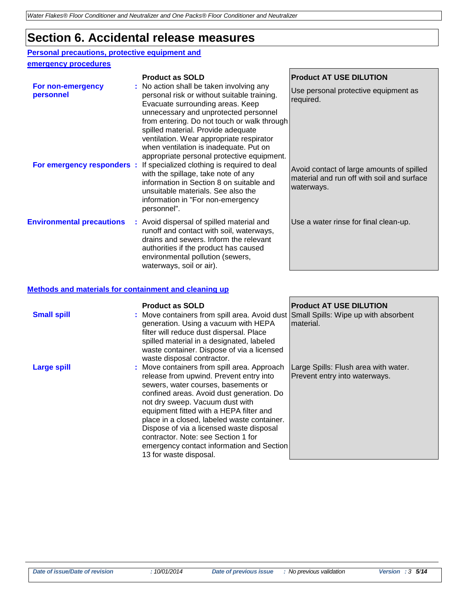### **Section 6. Accidental release measures**

### **Personal precautions, protective equipment and**

#### **emergency procedures**

|                                  | <b>Product as SOLD</b>                                                                                                                                                                                                                                                                                                                                                                        | <b>Product AT USE DILUTION</b>                                                                        |
|----------------------------------|-----------------------------------------------------------------------------------------------------------------------------------------------------------------------------------------------------------------------------------------------------------------------------------------------------------------------------------------------------------------------------------------------|-------------------------------------------------------------------------------------------------------|
| For non-emergency<br>personnel   | : No action shall be taken involving any<br>personal risk or without suitable training.<br>Evacuate surrounding areas. Keep<br>unnecessary and unprotected personnel<br>from entering. Do not touch or walk through<br>spilled material. Provide adequate<br>ventilation. Wear appropriate respirator<br>when ventilation is inadequate. Put on<br>appropriate personal protective equipment. | Use personal protective equipment as<br>required.                                                     |
|                                  | <b>For emergency responders</b> : If specialized clothing is required to deal<br>with the spillage, take note of any<br>information in Section 8 on suitable and<br>unsuitable materials. See also the<br>information in "For non-emergency<br>personnel".                                                                                                                                    | Avoid contact of large amounts of spilled<br>material and run off with soil and surface<br>waterways. |
| <b>Environmental precautions</b> | : Avoid dispersal of spilled material and<br>runoff and contact with soil, waterways,<br>drains and sewers. Inform the relevant<br>authorities if the product has caused<br>environmental pollution (sewers,<br>waterways, soil or air).                                                                                                                                                      | Use a water rinse for final clean-up.                                                                 |

#### **Methods and materials for containment and cleaning up**

| <b>Small spill</b> | <b>Product as SOLD</b><br>: Move containers from spill area. Avoid dust Small Spills: Wipe up with absorbent<br>generation. Using a vacuum with HEPA<br>filter will reduce dust dispersal. Place<br>spilled material in a designated, labeled<br>waste container. Dispose of via a licensed<br>waste disposal contractor.                                                                                                                                         | <b>Product AT USE DILUTION</b><br>Imaterial.                          |
|--------------------|-------------------------------------------------------------------------------------------------------------------------------------------------------------------------------------------------------------------------------------------------------------------------------------------------------------------------------------------------------------------------------------------------------------------------------------------------------------------|-----------------------------------------------------------------------|
| <b>Large spill</b> | : Move containers from spill area. Approach<br>release from upwind. Prevent entry into<br>sewers, water courses, basements or<br>confined areas. Avoid dust generation. Do<br>not dry sweep. Vacuum dust with<br>equipment fitted with a HEPA filter and<br>place in a closed, labeled waste container.<br>Dispose of via a licensed waste disposal<br>contractor. Note: see Section 1 for<br>emergency contact information and Section<br>13 for waste disposal. | Large Spills: Flush area with water.<br>Prevent entry into waterways. |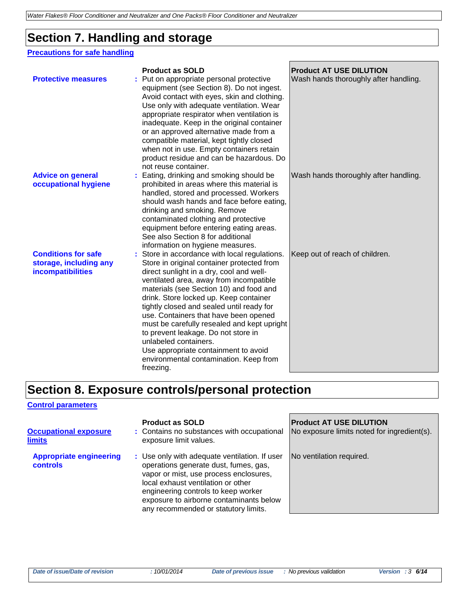# **Section 7. Handling and storage**

### **Precautions for safe handling**

| <b>Protective measures</b>                                                | <b>Product as SOLD</b><br>Put on appropriate personal protective                                                                                                                                                                                                                                                                                                                                                                                                                                                                                                            | <b>Product AT USE DILUTION</b><br>Wash hands thoroughly after handling. |
|---------------------------------------------------------------------------|-----------------------------------------------------------------------------------------------------------------------------------------------------------------------------------------------------------------------------------------------------------------------------------------------------------------------------------------------------------------------------------------------------------------------------------------------------------------------------------------------------------------------------------------------------------------------------|-------------------------------------------------------------------------|
|                                                                           | equipment (see Section 8). Do not ingest.<br>Avoid contact with eyes, skin and clothing.<br>Use only with adequate ventilation. Wear<br>appropriate respirator when ventilation is<br>inadequate. Keep in the original container<br>or an approved alternative made from a<br>compatible material, kept tightly closed<br>when not in use. Empty containers retain<br>product residue and can be hazardous. Do<br>not reuse container.                                                                                                                                      |                                                                         |
| <b>Advice on general</b><br>occupational hygiene                          | Eating, drinking and smoking should be<br>prohibited in areas where this material is<br>handled, stored and processed. Workers<br>should wash hands and face before eating,<br>drinking and smoking. Remove<br>contaminated clothing and protective<br>equipment before entering eating areas.<br>See also Section 8 for additional<br>information on hygiene measures.                                                                                                                                                                                                     | Wash hands thoroughly after handling.                                   |
| <b>Conditions for safe</b><br>storage, including any<br>incompatibilities | : Store in accordance with local regulations.<br>Store in original container protected from<br>direct sunlight in a dry, cool and well-<br>ventilated area, away from incompatible<br>materials (see Section 10) and food and<br>drink. Store locked up. Keep container<br>tightly closed and sealed until ready for<br>use. Containers that have been opened<br>must be carefully resealed and kept upright<br>to prevent leakage. Do not store in<br>unlabeled containers.<br>Use appropriate containment to avoid<br>environmental contamination. Keep from<br>freezing. | Keep out of reach of children.                                          |

## **Section 8. Exposure controls/personal protection**

#### **Control parameters**

| <b>Occupational exposure</b><br><b>limits</b>     | <b>Product as SOLD</b><br>: Contains no substances with occupational<br>exposure limit values.                                                                                                                                                                                                   | <b>Product AT USE DILUTION</b><br>No exposure limits noted for ingredient(s). |
|---------------------------------------------------|--------------------------------------------------------------------------------------------------------------------------------------------------------------------------------------------------------------------------------------------------------------------------------------------------|-------------------------------------------------------------------------------|
| <b>Appropriate engineering</b><br><b>controls</b> | : Use only with adequate ventilation. If user<br>operations generate dust, fumes, gas,<br>vapor or mist, use process enclosures,<br>local exhaust ventilation or other<br>engineering controls to keep worker<br>exposure to airborne contaminants below<br>any recommended or statutory limits. | No ventilation required.                                                      |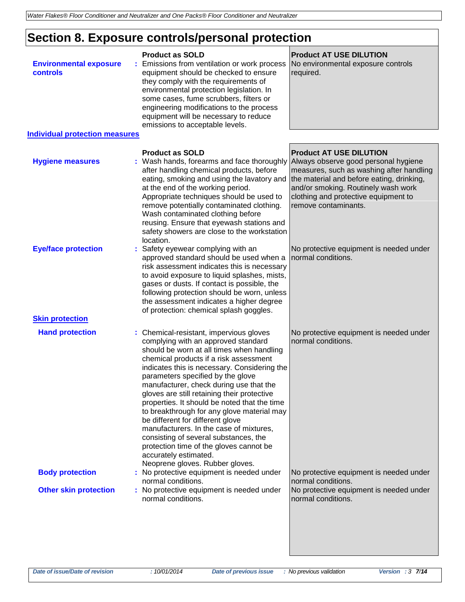# **Section 8. Exposure controls/personal protection**

| <b>Environmental exposure</b><br>controls<br><b>Individual protection measures</b> | <b>Product as SOLD</b><br>Emissions from ventilation or work process<br>equipment should be checked to ensure<br>they comply with the requirements of<br>environmental protection legislation. In<br>some cases, fume scrubbers, filters or<br>engineering modifications to the process<br>equipment will be necessary to reduce<br>emissions to acceptable levels.                                                                                                                                                                                                                                                                    | <b>Product AT USE DILUTION</b><br>No environmental exposure controls<br>required.                                                                                                            |
|------------------------------------------------------------------------------------|----------------------------------------------------------------------------------------------------------------------------------------------------------------------------------------------------------------------------------------------------------------------------------------------------------------------------------------------------------------------------------------------------------------------------------------------------------------------------------------------------------------------------------------------------------------------------------------------------------------------------------------|----------------------------------------------------------------------------------------------------------------------------------------------------------------------------------------------|
|                                                                                    | <b>Product as SOLD</b>                                                                                                                                                                                                                                                                                                                                                                                                                                                                                                                                                                                                                 | <b>Product AT USE DILUTION</b>                                                                                                                                                               |
| <b>Hygiene measures</b>                                                            | : Wash hands, forearms and face thoroughly Always observe good personal hygiene<br>after handling chemical products, before<br>eating, smoking and using the lavatory and<br>at the end of the working period.<br>Appropriate techniques should be used to<br>remove potentially contaminated clothing.<br>Wash contaminated clothing before<br>reusing. Ensure that eyewash stations and<br>safety showers are close to the workstation<br>location.                                                                                                                                                                                  | measures, such as washing after handling<br>the material and before eating, drinking,<br>and/or smoking. Routinely wash work<br>clothing and protective equipment to<br>remove contaminants. |
| <b>Eye/face protection</b><br><b>Skin protection</b>                               | Safety eyewear complying with an<br>approved standard should be used when a<br>risk assessment indicates this is necessary<br>to avoid exposure to liquid splashes, mists,<br>gases or dusts. If contact is possible, the<br>following protection should be worn, unless<br>the assessment indicates a higher degree<br>of protection: chemical splash goggles.                                                                                                                                                                                                                                                                        | No protective equipment is needed under<br>normal conditions.                                                                                                                                |
| <b>Hand protection</b>                                                             | : Chemical-resistant, impervious gloves                                                                                                                                                                                                                                                                                                                                                                                                                                                                                                                                                                                                | No protective equipment is needed under                                                                                                                                                      |
|                                                                                    | complying with an approved standard<br>should be worn at all times when handling<br>chemical products if a risk assessment<br>indicates this is necessary. Considering the<br>parameters specified by the glove<br>manufacturer, check during use that the<br>gloves are still retaining their protective<br>properties. It should be noted that the time<br>to breakthrough for any glove material may<br>be different for different glove<br>manufacturers. In the case of mixtures,<br>consisting of several substances, the<br>protection time of the gloves cannot be<br>accurately estimated.<br>Neoprene gloves. Rubber gloves. | normal conditions.                                                                                                                                                                           |
| <b>Body protection</b>                                                             | : No protective equipment is needed under<br>normal conditions.                                                                                                                                                                                                                                                                                                                                                                                                                                                                                                                                                                        | No protective equipment is needed under<br>normal conditions.                                                                                                                                |
| <b>Other skin protection</b>                                                       | : No protective equipment is needed under<br>normal conditions.                                                                                                                                                                                                                                                                                                                                                                                                                                                                                                                                                                        | No protective equipment is needed under<br>normal conditions.                                                                                                                                |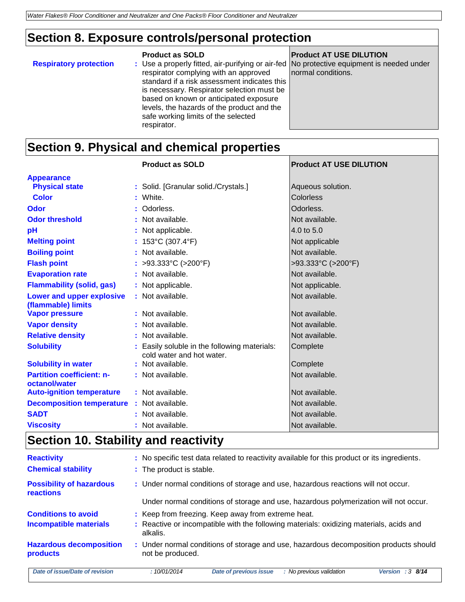### **Section 8. Exposure controls/personal protection**

|                               | Product as SULD                                            | <b>Pro</b> |
|-------------------------------|------------------------------------------------------------|------------|
| <b>Respiratory protection</b> | : Use a properly fitted, air-purifying or air-fed   No por |            |
|                               | respirator complying with an approved                      | norr       |
|                               | standard if a risk assessment indicates this               |            |
|                               | is necessary. Respirator selection must be                 |            |
|                               | based on known or anticipated exposure                     |            |
|                               | levels, the hazards of the product and the                 |            |
|                               | safe working limits of the selected                        |            |
|                               | respirator.                                                |            |
|                               |                                                            |            |

**Product as SOLD Product AT USE DILUTION**

orotective equipment is needed under nal conditions.

# **Section 9. Physical and chemical properties**

|                                                   | <b>Product as SOLD</b>                                                    | <b>Product AT USE DILUTION</b> |
|---------------------------------------------------|---------------------------------------------------------------------------|--------------------------------|
| <b>Appearance</b>                                 |                                                                           |                                |
| <b>Physical state</b>                             | : Solid. [Granular solid./Crystals.]                                      | Aqueous solution.              |
| <b>Color</b>                                      | : White.                                                                  | <b>Colorless</b>               |
| Odor                                              | : Odorless.                                                               | Odorless.                      |
| <b>Odor threshold</b>                             | : Not available.                                                          | Not available.                 |
| pH                                                | : Not applicable.                                                         | 4.0 to 5.0                     |
| <b>Melting point</b>                              | : $153^{\circ}$ C (307.4 $^{\circ}$ F)                                    | Not applicable                 |
| <b>Boiling point</b>                              | : Not available.                                                          | Not available.                 |
| <b>Flash point</b>                                | : >93.333°C (>200°F)                                                      | >93.333°C (>200°F)             |
| <b>Evaporation rate</b>                           | : Not available.                                                          | Not available.                 |
| <b>Flammability (solid, gas)</b>                  | : Not applicable.                                                         | Not applicable.                |
| Lower and upper explosive<br>(flammable) limits   | : Not available.                                                          | Not available.                 |
| <b>Vapor pressure</b>                             | : Not available.                                                          | Not available.                 |
| <b>Vapor density</b>                              | : Not available.                                                          | Not available.                 |
| <b>Relative density</b>                           | : Not available.                                                          | Not available.                 |
| <b>Solubility</b>                                 | : Easily soluble in the following materials:<br>cold water and hot water. | Complete                       |
| <b>Solubility in water</b>                        | : Not available.                                                          | Complete                       |
| <b>Partition coefficient: n-</b><br>octanol/water | : Not available.                                                          | Not available.                 |
| <b>Auto-ignition temperature</b>                  | : Not available.                                                          | Not available.                 |
| <b>Decomposition temperature</b>                  | : Not available.                                                          | Not available.                 |
| <b>SADT</b>                                       | : Not available.                                                          | Not available.                 |
| <b>Viscosity</b>                                  | : Not available.                                                          | Not available.                 |

### **Section 10. Stability and reactivity**

| <b>Reactivity</b><br><b>Chemical stability</b> | : No specific test data related to reactivity available for this product or its ingredients.<br>: The product is stable. |
|------------------------------------------------|--------------------------------------------------------------------------------------------------------------------------|
| <b>Possibility of hazardous</b><br>reactions   | : Under normal conditions of storage and use, hazardous reactions will not occur.                                        |
|                                                | Under normal conditions of storage and use, hazardous polymerization will not occur.                                     |
| <b>Conditions to avoid</b>                     | : Keep from freezing. Keep away from extreme heat.                                                                       |
| <b>Incompatible materials</b>                  | : Reactive or incompatible with the following materials: oxidizing materials, acids and<br>alkalis.                      |
| <b>Hazardous decomposition</b><br>products     | : Under normal conditions of storage and use, hazardous decomposition products should<br>not be produced.                |
| Date of issue/Date of revision                 | <b>Date of previous issue</b><br>:10/01/2014<br>: No previous validation<br>Version : $3 \, 8/14$                        |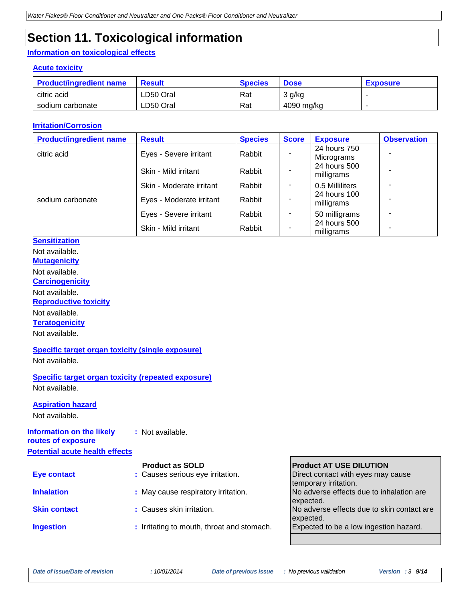# **Section 11. Toxicological information**

#### **Information on toxicological effects**

#### **Acute toxicity**

| <b>Product/ingredient name</b> | <b>Result</b> | <b>Species</b> | <b>Dose</b> | <b>Exposure</b> |
|--------------------------------|---------------|----------------|-------------|-----------------|
| citric acid                    | LD50 Oral     | Rat            | 3 g/kg      |                 |
| sodium carbonate               | LD50 Oral     | Rat            | 4090 mg/kg  |                 |

#### **Irritation/Corrosion**

| <b>Product/ingredient name</b> | <b>Result</b>            | <b>Species</b> | <b>Score</b> | <b>Exposure</b>            | <b>Observation</b> |
|--------------------------------|--------------------------|----------------|--------------|----------------------------|--------------------|
| citric acid                    | Eyes - Severe irritant   | Rabbit         |              | 24 hours 750<br>Micrograms |                    |
|                                | Skin - Mild irritant     | Rabbit         |              | 24 hours 500<br>milligrams |                    |
|                                | Skin - Moderate irritant | Rabbit         |              | 0.5 Milliliters            |                    |
| sodium carbonate               | Eyes - Moderate irritant | Rabbit         |              | 24 hours 100<br>milligrams |                    |
|                                | Eyes - Severe irritant   | Rabbit         | ٠            | 50 milligrams              |                    |
|                                | Skin - Mild irritant     | Rabbit         |              | 24 hours 500<br>milligrams |                    |

### **Sensitization**

Not available.

**Mutagenicity**

Not available.

**Carcinogenicity**

Not available. **Reproductive toxicity**

Not available.

**Teratogenicity**

Not available.

#### **Specific target organ toxicity (single exposure)**

Not available.

**Specific target organ toxicity (repeated exposure)** Not available.

#### **Aspiration hazard**

Not available.

#### **Information on the likely :** Not available.

**routes of exposure Potential acute health effects**

|                     | <b>Product as SOLD</b>                     | <b>Product AT USE DILUTION</b>             |
|---------------------|--------------------------------------------|--------------------------------------------|
| <b>Eye contact</b>  | : Causes serious eye irritation.           | Direct contact with eyes may cause         |
|                     |                                            | temporary irritation.                      |
| <b>Inhalation</b>   | : May cause respiratory irritation.        | No adverse effects due to inhalation are   |
|                     |                                            | expected.                                  |
| <b>Skin contact</b> | : Causes skin irritation.                  | No adverse effects due to skin contact are |
|                     |                                            | expected.                                  |
| <b>Ingestion</b>    | : Irritating to mouth, throat and stomach. | Expected to be a low ingestion hazard.     |
|                     |                                            |                                            |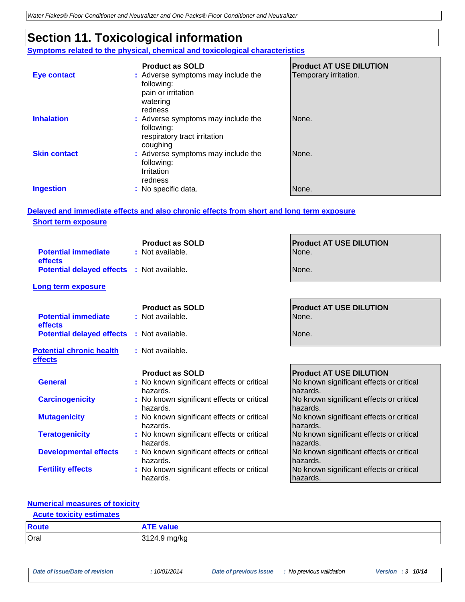# **Section 11. Toxicological information**

**Symptoms related to the physical, chemical and toxicological characteristics**

|                     | <b>Product as SOLD</b>                                                                        | <b>Product AT USE DILUTION</b> |
|---------------------|-----------------------------------------------------------------------------------------------|--------------------------------|
| <b>Eye contact</b>  | : Adverse symptoms may include the<br>following:<br>pain or irritation<br>watering<br>redness | Temporary irritation.          |
| <b>Inhalation</b>   | : Adverse symptoms may include the<br>following:<br>respiratory tract irritation<br>coughing  | None.                          |
| <b>Skin contact</b> | : Adverse symptoms may include the<br>following:<br>Irritation<br>redness                     | None.                          |
| <b>Ingestion</b>    | : No specific data.                                                                           | None.                          |

г

#### **Delayed and immediate effects and also chronic effects from short and long term exposure Short term exposure**

| <b>Potential immediate</b><br>effects             | <b>Product as SOLD</b><br>: Not available.             | <b>Product AT USE DILUTION</b><br>None.              |
|---------------------------------------------------|--------------------------------------------------------|------------------------------------------------------|
| <b>Potential delayed effects : Not available.</b> |                                                        | None.                                                |
| Long term exposure                                |                                                        |                                                      |
| <b>Potential immediate</b><br>effects             | <b>Product as SOLD</b><br>: Not available.             | <b>Product AT USE DILUTION</b><br>None.              |
| <b>Potential delayed effects</b>                  | : Not available.                                       | None.                                                |
| <b>Potential chronic health</b><br>effects        | : Not available.                                       |                                                      |
|                                                   | <b>Product as SOLD</b>                                 | <b>Product AT USE DILUTION</b>                       |
|                                                   |                                                        |                                                      |
| <b>General</b>                                    | : No known significant effects or critical<br>hazards. | No known significant effects or critical<br>hazards. |
| <b>Carcinogenicity</b>                            | : No known significant effects or critical<br>hazards. | No known significant effects or critical<br>hazards. |
| <b>Mutagenicity</b>                               | : No known significant effects or critical<br>hazards. | No known significant effects or critical<br>hazards. |
| <b>Teratogenicity</b>                             | : No known significant effects or critical<br>hazards. | No known significant effects or critical<br>hazards. |
| <b>Developmental effects</b>                      | : No known significant effects or critical<br>hazards. | No known significant effects or critical<br>hazards. |

#### **Numerical measures of toxicity**

### **Acute toxicity estimates**

| Route | <b>ATE value</b> |
|-------|------------------|
| Oral  | 3124.9 mg/kg     |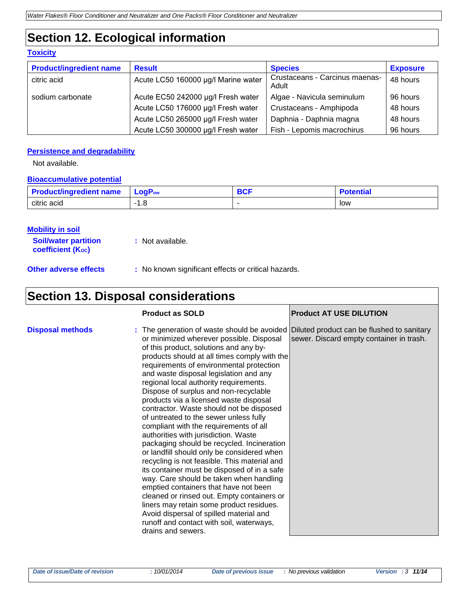# **Section 12. Ecological information**

#### **Toxicity**

| <b>Product/ingredient name</b> | <b>Result</b>                       | <b>Species</b>                          | <b>Exposure</b> |
|--------------------------------|-------------------------------------|-----------------------------------------|-----------------|
| citric acid                    | Acute LC50 160000 µg/l Marine water | Crustaceans - Carcinus maenas-<br>Adult | 48 hours        |
| sodium carbonate               | Acute EC50 242000 µg/l Fresh water  | Algae - Navicula seminulum              | 96 hours        |
|                                | Acute LC50 176000 µg/l Fresh water  | Crustaceans - Amphipoda                 | 48 hours        |
|                                | Acute LC50 265000 µg/l Fresh water  | Daphnia - Daphnia magna                 | 48 hours        |
|                                | Acute LC50 300000 µg/l Fresh water  | Fish - Lepomis macrochirus              | 96 hours        |

#### **Persistence and degradability**

Not available.

#### **Bioaccumulative potential**

| <b>Product/ingredient name</b> | $LogPow$ | DOF<br>ou. | Potential |
|--------------------------------|----------|------------|-----------|
| citric acid                    | ı.o      |            | low       |

#### **Mobility in soil**

| <b>Soil/water partition</b> | : Not available. |
|-----------------------------|------------------|
| <b>coefficient (Koc)</b>    |                  |

**Other adverse effects** : No known significant effects or critical hazards.

# **Section 13. Disposal considerations**

|                         | <b>Product as SOLD</b>                                                                                                                                                                                                                                                                                                                                                                                                                                                                                                                                                                                                                                                                                                                                                                                                                                                                                                                                                                                                                                                                                        | <b>Product AT USE DILUTION</b>           |
|-------------------------|---------------------------------------------------------------------------------------------------------------------------------------------------------------------------------------------------------------------------------------------------------------------------------------------------------------------------------------------------------------------------------------------------------------------------------------------------------------------------------------------------------------------------------------------------------------------------------------------------------------------------------------------------------------------------------------------------------------------------------------------------------------------------------------------------------------------------------------------------------------------------------------------------------------------------------------------------------------------------------------------------------------------------------------------------------------------------------------------------------------|------------------------------------------|
| <b>Disposal methods</b> | : The generation of waste should be avoided Diluted product can be flushed to sanitary<br>or minimized wherever possible. Disposal<br>of this product, solutions and any by-<br>products should at all times comply with the<br>requirements of environmental protection<br>and waste disposal legislation and any<br>regional local authority requirements.<br>Dispose of surplus and non-recyclable<br>products via a licensed waste disposal<br>contractor. Waste should not be disposed<br>of untreated to the sewer unless fully<br>compliant with the requirements of all<br>authorities with jurisdiction. Waste<br>packaging should be recycled. Incineration<br>or landfill should only be considered when<br>recycling is not feasible. This material and<br>its container must be disposed of in a safe<br>way. Care should be taken when handling<br>emptied containers that have not been<br>cleaned or rinsed out. Empty containers or<br>liners may retain some product residues.<br>Avoid dispersal of spilled material and<br>runoff and contact with soil, waterways,<br>drains and sewers. | sewer. Discard empty container in trash. |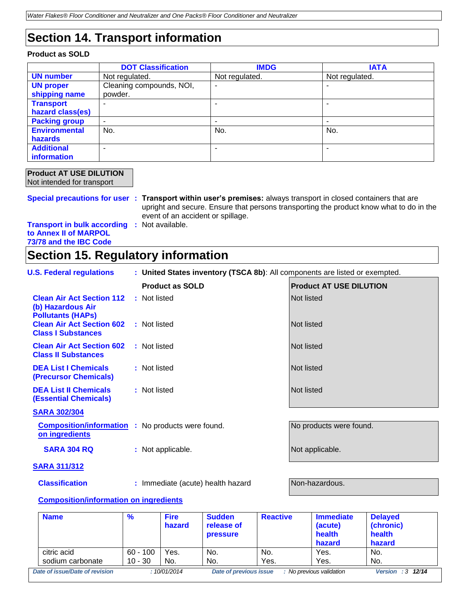## **Section 14. Transport information**

#### **Product as SOLD**

|                      | <b>DOT Classification</b> | <b>IMDG</b>              | <b>IATA</b>    |
|----------------------|---------------------------|--------------------------|----------------|
| <b>UN number</b>     | Not regulated.            | Not regulated.           | Not regulated. |
| <b>UN proper</b>     | Cleaning compounds, NOI,  |                          |                |
| shipping name        | powder.                   |                          |                |
| <b>Transport</b>     |                           |                          |                |
| hazard class(es)     |                           |                          |                |
| <b>Packing group</b> | ۰                         | $\overline{\phantom{0}}$ |                |
| <b>Environmental</b> | No.                       | No.                      | No.            |
| <b>hazards</b>       |                           |                          |                |
| <b>Additional</b>    | ۰                         |                          |                |
| information          |                           |                          |                |

#### **Product AT USE DILUTION** Not intended for transport

**Special precautions for user : Transport within user's premises:** always transport in closed containers that are upright and secure. Ensure that persons transporting the product know what to do in the event of an accident or spillage.

**Transport in bulk according :** Not available. **to Annex II of MARPOL 73/78 and the IBC Code**

### **Section 15. Regulatory information**

| <b>U.S. Federal regulations</b> | : United States inventory (TSCA 8b): All components are listed or exempted. |  |
|---------------------------------|-----------------------------------------------------------------------------|--|
|                                 |                                                                             |  |

|                                                                                   | <b>Product as SOLD</b>    | <b>Product AT USE DILUTION</b> |
|-----------------------------------------------------------------------------------|---------------------------|--------------------------------|
| <b>Clean Air Act Section 112</b><br>(b) Hazardous Air<br><b>Pollutants (HAPs)</b> | : Not listed              | Not listed                     |
| <b>Clean Air Act Section 602</b><br><b>Class I Substances</b>                     | : Not listed              | Not listed                     |
| <b>Clean Air Act Section 602</b><br><b>Class II Substances</b>                    | : Not listed              | Not listed                     |
| <b>DEA List I Chemicals</b><br><b>(Precursor Chemicals)</b>                       | : Not listed              | Not listed                     |
| <b>DEA List II Chemicals</b><br><b>(Essential Chemicals)</b>                      | : Not listed              | Not listed                     |
| <b>SARA 302/304</b>                                                               |                           |                                |
| <b>Composition/information</b><br>on ingredients                                  | : No products were found. | No products were found.        |
| <b>SARA 304 RQ</b>                                                                | : Not applicable.         | Not applicable.                |
| ---------                                                                         |                           |                                |

#### **SARA 311/312**

**Classification :** Immediate (acute) health hazard **Non-hazardous.** 

#### **Composition/information on ingredients**

| <b>Name</b>                    | $\%$       | <b>Fire</b><br>hazard | <b>Sudden</b><br>release of<br><b>pressure</b> | <b>Reactive</b> | <b>Immediate</b><br>(acute)<br>health<br>hazard | <b>Delayed</b><br>(chronic)<br>health<br>hazard |
|--------------------------------|------------|-----------------------|------------------------------------------------|-----------------|-------------------------------------------------|-------------------------------------------------|
| citric acid                    | $60 - 100$ | Yes.                  | No.                                            | No.             | Yes.                                            | No.                                             |
| sodium carbonate               | $10 - 30$  | No.                   | No.                                            | Yes.            | Yes.                                            | No.                                             |
| Date of issue/Date of revision |            | :10/01/2014           | Date of previous issue                         |                 | : No previous validation                        | Version : $3 \t12/14$                           |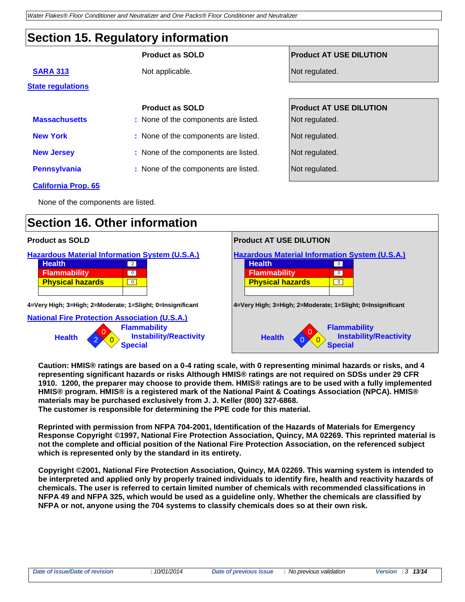## **Section 15. Regulatory information**

|                            | <b>Product as SOLD</b>               | <b>Product AT USE DILUTION</b> |
|----------------------------|--------------------------------------|--------------------------------|
| <b>SARA 313</b>            | Not applicable.                      | Not regulated.                 |
| <b>State regulations</b>   |                                      |                                |
|                            | <b>Product as SOLD</b>               | <b>Product AT USE DILUTION</b> |
| <b>Massachusetts</b>       | : None of the components are listed. | Not regulated.                 |
| <b>New York</b>            | : None of the components are listed. | Not regulated.                 |
| <b>New Jersey</b>          | : None of the components are listed. | Not regulated.                 |
| <b>Pennsylvania</b>        | : None of the components are listed. | Not regulated.                 |
| <b>California Prop. 65</b> |                                      |                                |

None of the components are listed.

### **Section 16. Other information**



**Caution: HMIS® ratings are based on a 0-4 rating scale, with 0 representing minimal hazards or risks, and 4 representing significant hazards or risks Although HMIS® ratings are not required on SDSs under 29 CFR 1910. 1200, the preparer may choose to provide them. HMIS® ratings are to be used with a fully implemented HMIS® program. HMIS® is a registered mark of the National Paint & Coatings Association (NPCA). HMIS® materials may be purchased exclusively from J. J. Keller (800) 327-6868. The customer is responsible for determining the PPE code for this material.**

**Reprinted with permission from NFPA 704-2001, Identification of the Hazards of Materials for Emergency Response Copyright ©1997, National Fire Protection Association, Quincy, MA 02269. This reprinted material is not the complete and official position of the National Fire Protection Association, on the referenced subject which is represented only by the standard in its entirety.**

**Copyright ©2001, National Fire Protection Association, Quincy, MA 02269. This warning system is intended to be interpreted and applied only by properly trained individuals to identify fire, health and reactivity hazards of chemicals. The user is referred to certain limited number of chemicals with recommended classifications in NFPA 49 and NFPA 325, which would be used as a guideline only. Whether the chemicals are classified by NFPA or not, anyone using the 704 systems to classify chemicals does so at their own risk.**